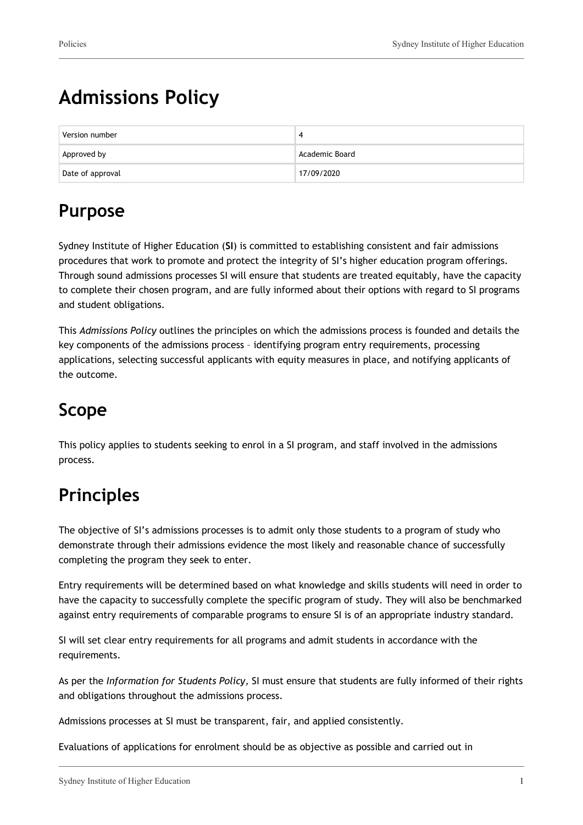# **Admissions Policy**

| Version number   |                |
|------------------|----------------|
| Approved by      | Academic Board |
| Date of approval | 17/09/2020     |

## **Purpose**

Sydney Institute of Higher Education (**SI**) is committed to establishing consistent and fair admissions procedures that work to promote and protect the integrity of SI's higher education program offerings. Through sound admissions processes SI will ensure that students are treated equitably, have the capacity to complete their chosen program, and are fully informed about their options with regard to SI programs and student obligations.

This *Admissions Policy* outlines the principles on which the admissions process is founded and details the key components of the admissions process – identifying program entry requirements, processing applications, selecting successful applicants with equity measures in place, and notifying applicants of the outcome.

# **Scope**

This policy applies to students seeking to enrol in a SI program, and staff involved in the admissions process.

# **Principles**

The objective of SI's admissions processes is to admit only those students to a program of study who demonstrate through their admissions evidence the most likely and reasonable chance of successfully completing the program they seek to enter.

Entry requirements will be determined based on what knowledge and skills students will need in order to have the capacity to successfully complete the specific program of study. They will also be benchmarked against entry requirements of comparable programs to ensure SI is of an appropriate industry standard.

SI will set clear entry requirements for all programs and admit students in accordance with the requirements.

As per the *Information for Students Policy,* SI must ensure that students are fully informed of their rights and obligations throughout the admissions process.

Admissions processes at SI must be transparent, fair, and applied consistently.

Evaluations of applications for enrolment should be as objective as possible and carried out in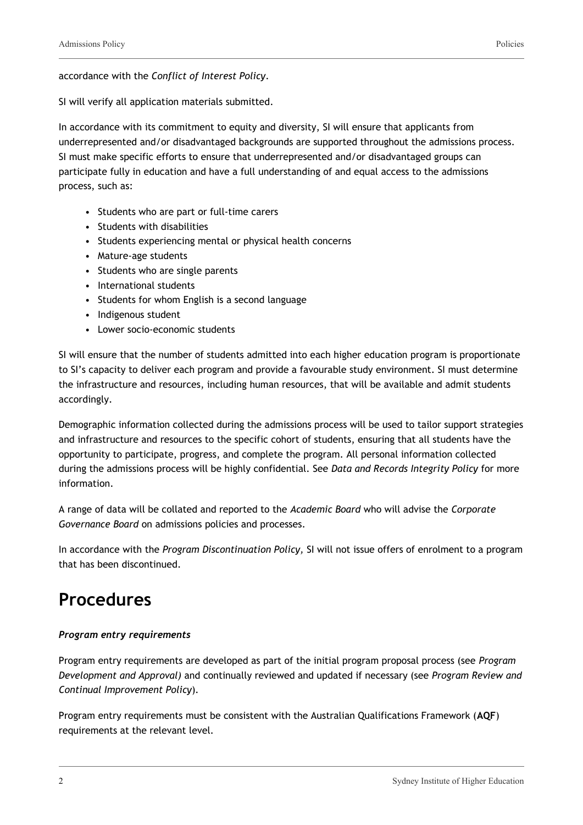accordance with the *Conflict of Interest Policy*.

SI will verify all application materials submitted.

In accordance with its commitment to equity and diversity, SI will ensure that applicants from underrepresented and/or disadvantaged backgrounds are supported throughout the admissions process. SI must make specific efforts to ensure that underrepresented and/or disadvantaged groups can participate fully in education and have a full understanding of and equal access to the admissions process, such as:

- Students who are part or full-time carers
- Students with disabilities
- Students experiencing mental or physical health concerns
- Mature-age students
- Students who are single parents
- International students
- Students for whom English is a second language
- Indigenous student
- Lower socio-economic students

SI will ensure that the number of students admitted into each higher education program is proportionate to SI's capacity to deliver each program and provide a favourable study environment. SI must determine the infrastructure and resources, including human resources, that will be available and admit students accordingly.

Demographic information collected during the admissions process will be used to tailor support strategies and infrastructure and resources to the specific cohort of students, ensuring that all students have the opportunity to participate, progress, and complete the program. All personal information collected during the admissions process will be highly confidential. See *Data and Records Integrity Policy* for more information.

A range of data will be collated and reported to the *Academic Board* who will advise the *Corporate Governance Board* on admissions policies and processes.

In accordance with the *Program Discontinuation Policy,* SI will not issue offers of enrolment to a program that has been discontinued.

## **Procedures**

## *Program entry requirements*

Program entry requirements are developed as part of the initial program proposal process (see *Program Development and Approval)* and continually reviewed and updated if necessary (see *Program Review and Continual Improvement Policy*)*.*

Program entry requirements must be consistent with the Australian Qualifications Framework (**AQF**) requirements at the relevant level.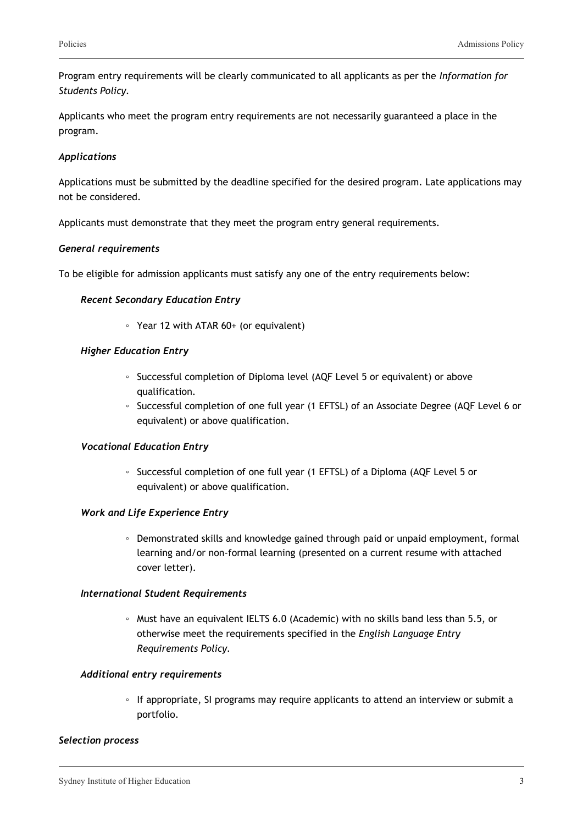Program entry requirements will be clearly communicated to all applicants as per the *Information for Students Policy.*

Applicants who meet the program entry requirements are not necessarily guaranteed a place in the program.

## *Applications*

Applications must be submitted by the deadline specified for the desired program. Late applications may not be considered.

Applicants must demonstrate that they meet the program entry general requirements.

## *General requirements*

To be eligible for admission applicants must satisfy any one of the entry requirements below:

## *Recent Secondary Education Entry*

◦ Year 12 with ATAR 60+ (or equivalent)

## *Higher Education Entry*

- Successful completion of Diploma level (AQF Level 5 or equivalent) or above qualification.
- Successful completion of one full year (1 EFTSL) of an Associate Degree (AQF Level 6 or equivalent) or above qualification.

## *Vocational Education Entry*

◦ Successful completion of one full year (1 EFTSL) of a Diploma (AQF Level 5 or equivalent) or above qualification.

## *Work and Life Experience Entry*

◦ Demonstrated skills and knowledge gained through paid or unpaid employment, formal learning and/or non-formal learning (presented on a current resume with attached cover letter).

#### *International Student Requirements*

◦ Must have an equivalent IELTS 6.0 (Academic) with no skills band less than 5.5, or otherwise meet the requirements specified in the *English Language Entry Requirements Policy.*

#### *Additional entry requirements*

◦ If appropriate, SI programs may require applicants to attend an interview or submit a portfolio.

#### *Selection process*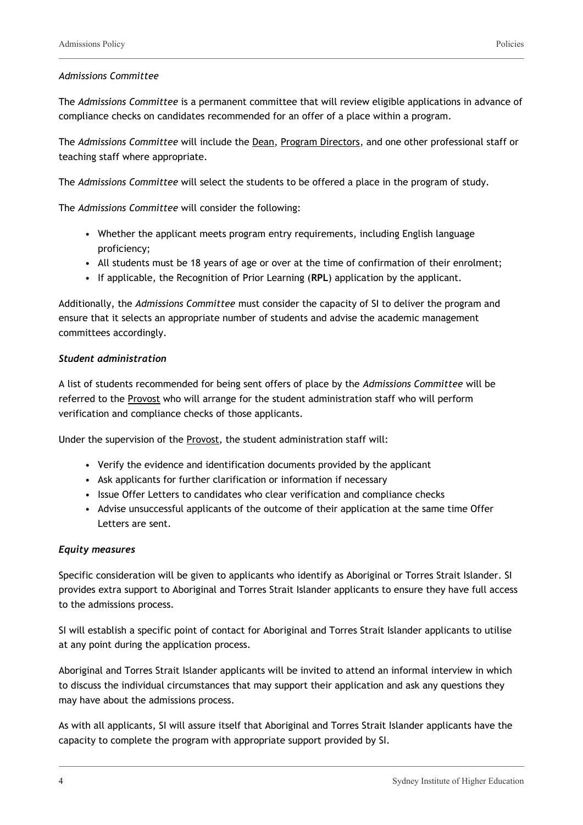## *Admissions Committee*

The *Admissions Committee* is a permanent committee that will review eligible applications in advance of compliance checks on candidates recommended for an offer of a place within a program.

The *Admissions Committee* will include the Dean, Program Directors, and one other professional staff or teaching staff where appropriate.

The *Admissions Committee* will select the students to be offered a place in the program of study.

The *Admissions Committee* will consider the following:

- Whether the applicant meets program entry requirements, including English language proficiency;
- All students must be 18 years of age or over at the time of confirmation of their enrolment;
- If applicable, the Recognition of Prior Learning (**RPL**) application by the applicant.

Additionally, the *Admissions Committee* must consider the capacity of SI to deliver the program and ensure that it selects an appropriate number of students and advise the academic management committees accordingly.

## *Student administration*

A list of students recommended for being sent offers of place by the *Admissions Committee* will be referred to the Provost who will arrange for the student administration staff who will perform verification and compliance checks of those applicants.

Under the supervision of the Provost, the student administration staff will:

- Verify the evidence and identification documents provided by the applicant
- Ask applicants for further clarification or information if necessary
- Issue Offer Letters to candidates who clear verification and compliance checks
- Advise unsuccessful applicants of the outcome of their application at the same time Offer Letters are sent.

## *Equity measures*

Specific consideration will be given to applicants who identify as Aboriginal or Torres Strait Islander. SI provides extra support to Aboriginal and Torres Strait Islander applicants to ensure they have full access to the admissions process.

SI will establish a specific point of contact for Aboriginal and Torres Strait Islander applicants to utilise at any point during the application process.

Aboriginal and Torres Strait Islander applicants will be invited to attend an informal interview in which to discuss the individual circumstances that may support their application and ask any questions they may have about the admissions process.

As with all applicants, SI will assure itself that Aboriginal and Torres Strait Islander applicants have the capacity to complete the program with appropriate support provided by SI.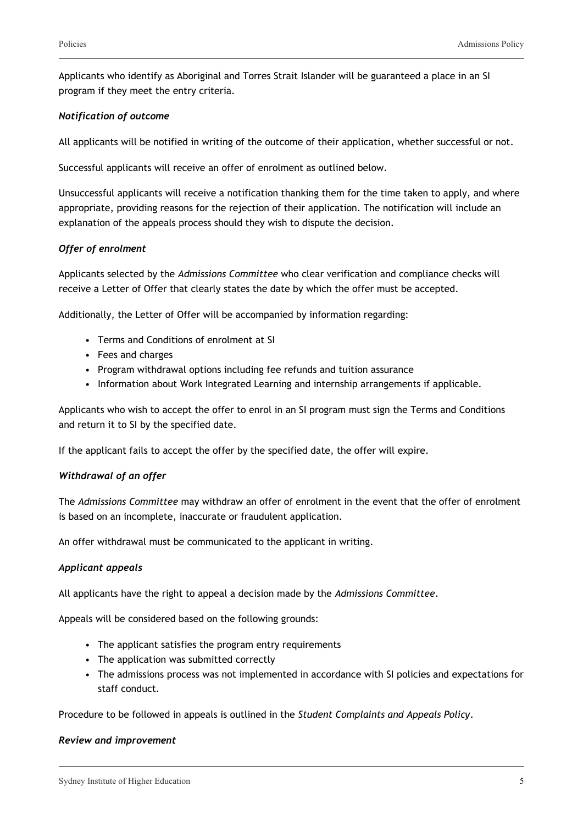Applicants who identify as Aboriginal and Torres Strait Islander will be guaranteed a place in an SI program if they meet the entry criteria.

## *Notification of outcome*

All applicants will be notified in writing of the outcome of their application, whether successful or not.

Successful applicants will receive an offer of enrolment as outlined below.

Unsuccessful applicants will receive a notification thanking them for the time taken to apply, and where appropriate, providing reasons for the rejection of their application. The notification will include an explanation of the appeals process should they wish to dispute the decision.

## *Offer of enrolment*

Applicants selected by the *Admissions Committee* who clear verification and compliance checks will receive a Letter of Offer that clearly states the date by which the offer must be accepted.

Additionally, the Letter of Offer will be accompanied by information regarding:

- Terms and Conditions of enrolment at SI
- Fees and charges
- Program withdrawal options including fee refunds and tuition assurance
- Information about Work Integrated Learning and internship arrangements if applicable.

Applicants who wish to accept the offer to enrol in an SI program must sign the Terms and Conditions and return it to SI by the specified date.

If the applicant fails to accept the offer by the specified date, the offer will expire.

## *Withdrawal of an offer*

The *Admissions Committee* may withdraw an offer of enrolment in the event that the offer of enrolment is based on an incomplete, inaccurate or fraudulent application.

An offer withdrawal must be communicated to the applicant in writing.

## *Applicant appeals*

All applicants have the right to appeal a decision made by the *Admissions Committee*.

Appeals will be considered based on the following grounds:

- The applicant satisfies the program entry requirements
- The application was submitted correctly
- The admissions process was not implemented in accordance with SI policies and expectations for staff conduct.

Procedure to be followed in appeals is outlined in the *Student Complaints and Appeals Policy*.

## *Review and improvement*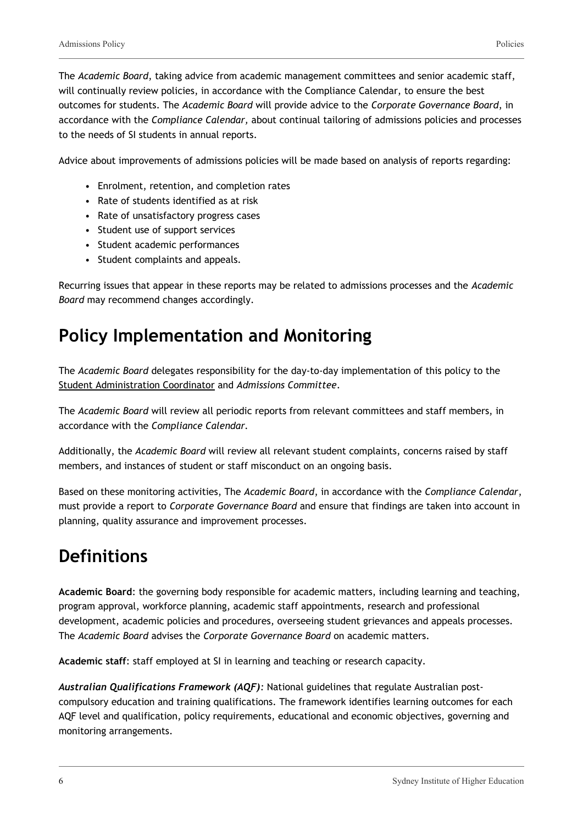The *Academic Board*, taking advice from academic management committees and senior academic staff, will continually review policies, in accordance with the Compliance Calendar, to ensure the best outcomes for students. The *Academic Board* will provide advice to the *Corporate Governance Board*, in accordance with the *Compliance Calendar,* about continual tailoring of admissions policies and processes to the needs of SI students in annual reports.

Advice about improvements of admissions policies will be made based on analysis of reports regarding:

- Enrolment, retention, and completion rates
- Rate of students identified as at risk
- Rate of unsatisfactory progress cases
- Student use of support services
- Student academic performances
- Student complaints and appeals.

Recurring issues that appear in these reports may be related to admissions processes and the *Academic Board* may recommend changes accordingly.

## **Policy Implementation and Monitoring**

The *Academic Board* delegates responsibility for the day-to-day implementation of this policy to the Student Administration Coordinator and *Admissions Committee*.

The *Academic Board* will review all periodic reports from relevant committees and staff members, in accordance with the *Compliance Calendar.*

Additionally, the *Academic Board* will review all relevant student complaints, concerns raised by staff members, and instances of student or staff misconduct on an ongoing basis.

Based on these monitoring activities, The *Academic Board*, in accordance with the *Compliance Calendar*, must provide a report to *Corporate Governance Board* and ensure that findings are taken into account in planning, quality assurance and improvement processes.

# **Definitions**

**Academic Board**: the governing body responsible for academic matters, including learning and teaching, program approval, workforce planning, academic staff appointments, research and professional development, academic policies and procedures, overseeing student grievances and appeals processes. The *Academic Board* advises the *Corporate Governance Board* on academic matters.

**Academic staff**: staff employed at SI in learning and teaching or research capacity.

*Australian Qualifications Framework (AQF):* National guidelines that regulate Australian postcompulsory education and training qualifications. The framework identifies learning outcomes for each AQF level and qualification, policy requirements, educational and economic objectives, governing and monitoring arrangements.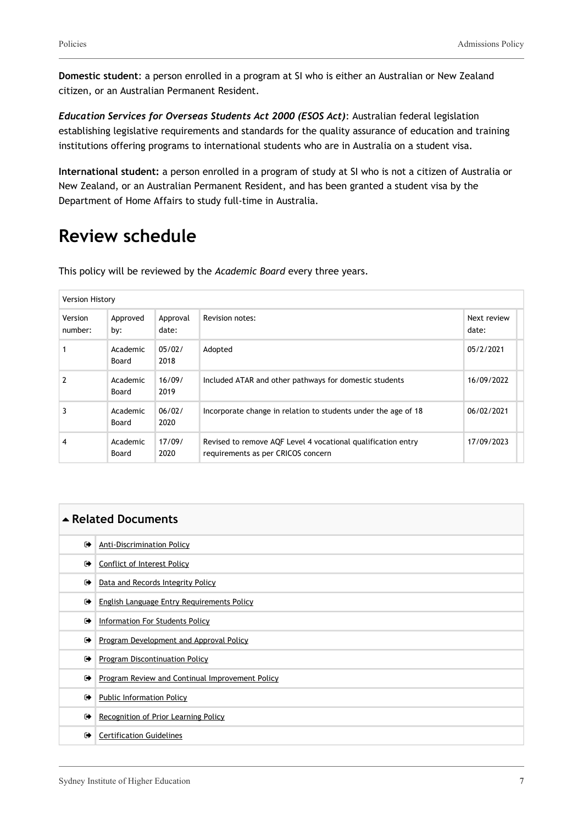**Domestic student**: a person enrolled in a program at SI who is either an Australian or New Zealand citizen, or an Australian Permanent Resident.

*Education Services for Overseas Students Act 2000 (ESOS Act)*: Australian federal legislation establishing legislative requirements and standards for the quality assurance of education and training institutions offering programs to international students who are in Australia on a student visa.

**International student:** a person enrolled in a program of study at SI who is not a citizen of Australia or New Zealand, or an Australian Permanent Resident, and has been granted a student visa by the Department of Home Affairs to study full-time in Australia.

## **Review schedule**

| <b>Version History</b> |                   |                   |                                                                                                    |                      |
|------------------------|-------------------|-------------------|----------------------------------------------------------------------------------------------------|----------------------|
| Version<br>number:     | Approved<br>by:   | Approval<br>date: | Revision notes:                                                                                    | Next review<br>date: |
|                        | Academic<br>Board | 05/02/<br>2018    | Adopted                                                                                            | 05/2/2021            |
| 2                      | Academic<br>Board | 16/09/<br>2019    | Included ATAR and other pathways for domestic students                                             | 16/09/2022           |
| 3                      | Academic<br>Board | 06/02/<br>2020    | Incorporate change in relation to students under the age of 18                                     | 06/02/2021           |
| 4                      | Academic<br>Board | 17/09/<br>2020    | Revised to remove AQF Level 4 vocational qualification entry<br>requirements as per CRICOS concern | 17/09/2023           |

This policy will be reviewed by the *Academic Board* every three years.

| ▲ Related Documents |                                                 |  |  |  |
|---------------------|-------------------------------------------------|--|--|--|
| $\bullet$           | <b>Anti-Discrimination Policy</b>               |  |  |  |
| ☞                   | <b>Conflict of Interest Policy</b>              |  |  |  |
| $\bullet$           | Data and Records Integrity Policy               |  |  |  |
| $\bullet$           | English Language Entry Requirements Policy      |  |  |  |
| $\bullet$           | <b>Information For Students Policy</b>          |  |  |  |
| $\bullet$           | Program Development and Approval Policy         |  |  |  |
| $\bullet$           | Program Discontinuation Policy                  |  |  |  |
| $\bullet$           | Program Review and Continual Improvement Policy |  |  |  |
| $\bullet$           | <b>Public Information Policy</b>                |  |  |  |
| $\bullet$           | Recognition of Prior Learning Policy            |  |  |  |
| $\bullet$           | <b>Certification Guidelines</b>                 |  |  |  |